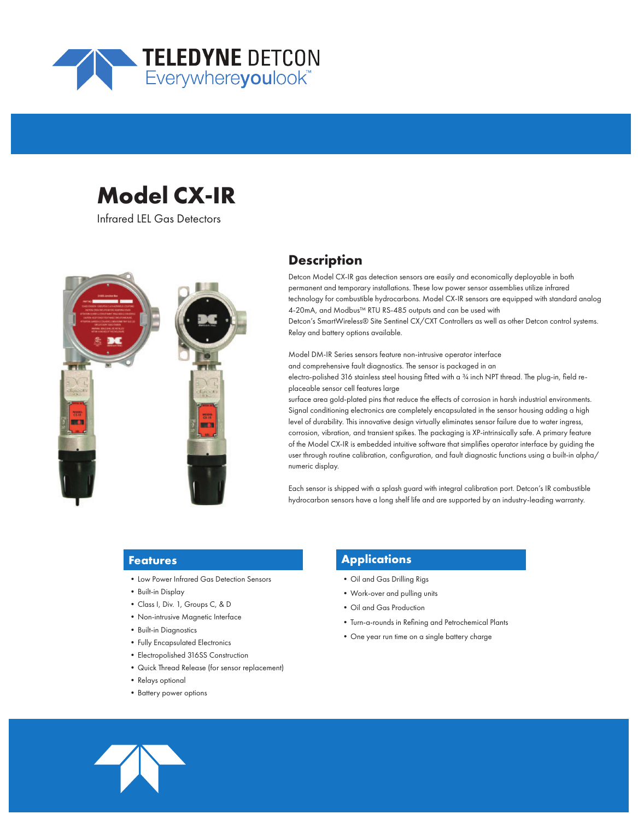

# **Model CX-IR**

Infrared LEL Gas Detectors



# **Description**

Detcon Model CX-IR gas detection sensors are easily and economically deployable in both permanent and temporary installations. These low power sensor assemblies utilize infrared technology for combustible hydrocarbons. Model CX-IR sensors are equipped with standard analog 4-20mA, and Modbus™ RTU RS-485 outputs and can be used with Detcon's SmartWireless® Site Sentinel CX/CXT Controllers as well as other Detcon control systems. Relay and battery options available.

Model DM-IR Series sensors feature non-intrusive operator interface and comprehensive fault diagnostics. The sensor is packaged in an electro-polished 316 stainless steel housing fitted with a 34 inch NPT thread. The plug-in, field replaceable sensor cell features large

surface area gold-plated pins that reduce the effects of corrosion in harsh industrial environments. Signal conditioning electronics are completely encapsulated in the sensor housing adding a high level of durability. This innovative design virtually eliminates sensor failure due to water ingress, corrosion, vibration, and transient spikes. The packaging is XP-intrinsically safe. A primary feature of the Model CX-IR is embedded intuitive software that simplifies operator interface by guiding the user through routine calibration, configuration, and fault diagnostic functions using a built-in alpha/ numeric display.

Each sensor is shipped with a splash guard with integral calibration port. Detcon's IR combustible hydrocarbon sensors have a long shelf life and are supported by an industry-leading warranty.

#### **Features**

- •Low Power Infrared Gas Detection Sensors
- •Built-in Display
- •Class I, Div. 1, Groups C, & D
- •Non-intrusive Magnetic Interface
- Built-in Diagnostics
- •Fully Encapsulated Electronics
- •Electropolished 316SS Construction
- •Quick Thread Release (for sensor replacement)
- Relays optional
- •Battery power options

# **Applications**

- •Oil and Gas Drilling Rigs
- •Work-over and pulling units
- •Oil and Gas Production
- •Turn-a-rounds in Refining and Petrochemical Plants
- •One year run time on a single battery charge